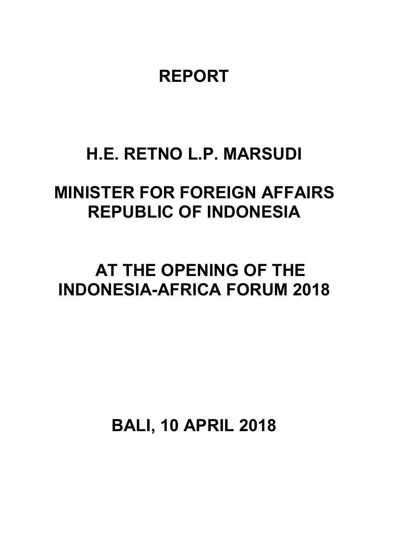# **REPORT**

### **H.E. RETNO L.P. MARSUDI**

# **MINISTER FOR FOREIGN AFFAIRS REPUBLIC OF INDONESIA**

# **AT THE OPENING OF THE INDONESIA-AFRICA FORUM 2018**

**BALI, 10 APRIL 2018**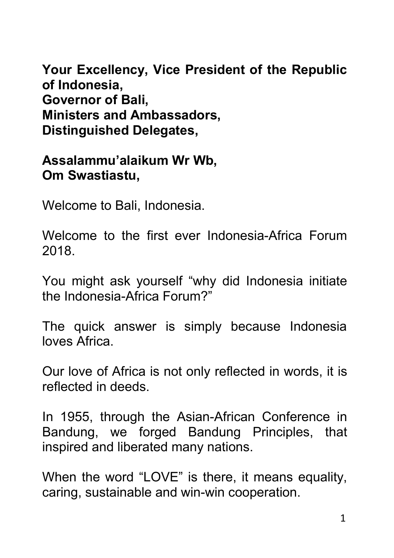**Your Excellency, Vice President of the Republic of Indonesia, Governor of Bali, Ministers and Ambassadors, Distinguished Delegates,**

**Assalammu'alaikum Wr Wb,Om Swastiastu,**

Welcome to Bali, Indonesia.

Welcome to the first ever Indonesia-Africa Forum 2018.

You might ask yourself "why did Indonesia initiate the Indonesia-Africa Forum?"

The quick answer is simply because Indonesia loves Africa.

Our love of Africa is not only reflected in words, it is reflected in deeds.

In 1955, through the Asian-African Conference in Bandung, we forged Bandung Principles, that inspired and liberated many nations.

When the word "LOVE" is there, it means equality, caring, sustainable and win-win cooperation.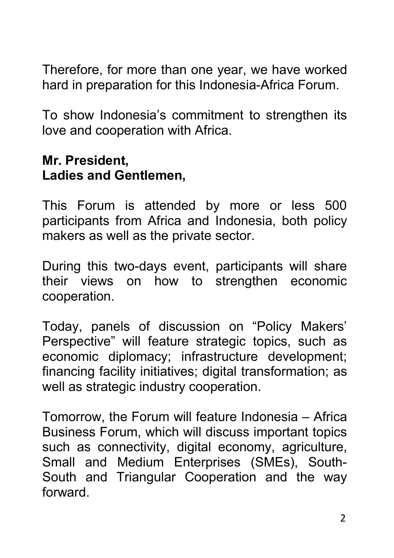Therefore, for more than one year, we have worked hard in preparation for this Indonesia-Africa Forum.

To show Indonesia's commitment to strengthen its love and cooperation with Africa.

### **Mr. President, Ladies and Gentlemen,**

This Forum is attended by more or less 500 participants from Africa and Indonesia, both policy makers as well as the private sector.

During this two-days event, participants will share their views on how to strengthen economic cooperation.

Today, panels of discussion on "Policy Makers' Perspective" will feature strategic topics, such as economic diplomacy; infrastructure development; financing facility initiatives; digital transformation; as well as strategic industry cooperation.

Tomorrow, the Forum will feature Indonesia – Africa Business Forum, which will discuss important topics such as connectivity, digital economy, agriculture, Small and Medium Enterprises (SMEs), South- South and Triangular Cooperation and the way forward.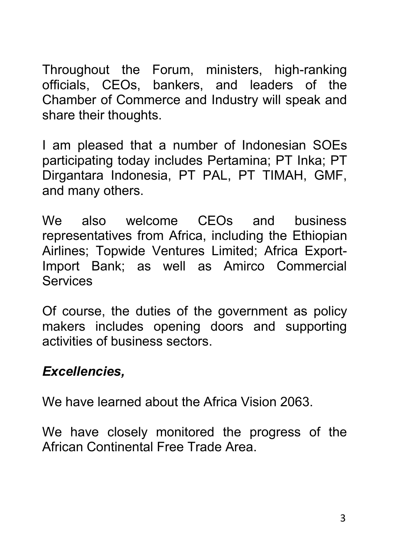Throughout the Forum, ministers, high-ranking officials, CEOs, bankers, and leaders of the Chamber of Commerce and Industry will speak and share their thoughts.

I am pleased that a number of Indonesian SOEs participating today includes Pertamina; PT Inka; PT Dirgantara Indonesia, PT PAL, PT TIMAH, GMF, and many others.

We also welcome CEOs and business representatives from Africa, including the Ethiopian Airlines; Topwide Ventures Limited; Africa Export-Import Bank; as well as Amirco Commercial **Services** 

Of course, the duties of the government as policy makers includes opening doors and supporting activities of business sectors.

### *Excellencies,*

We have learned about the Africa Vision 2063.

We have closely monitored the progress of the African Continental Free Trade Area.